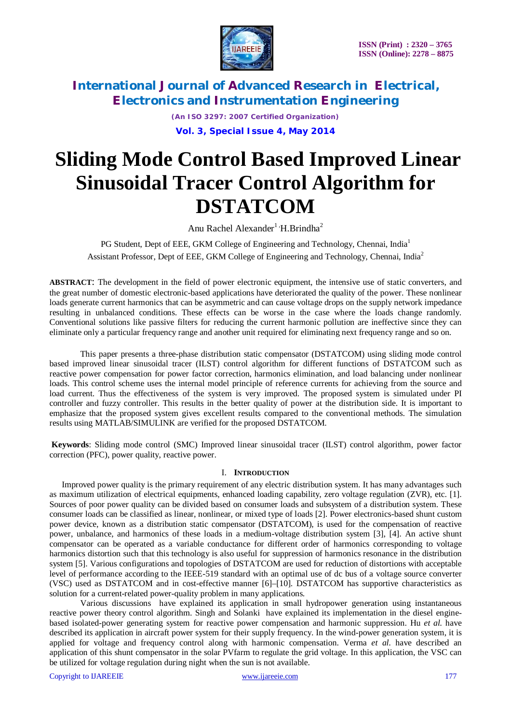

*(An ISO 3297: 2007 Certified Organization)*

**Vol. 3, Special Issue 4, May 2014**

# **Sliding Mode Control Based Improved Linear Sinusoidal Tracer Control Algorithm for DSTATCOM**

Anu Rachel Alexander<sup>1</sup>  $H.Brindha<sup>2</sup>$ 

PG Student, Dept of EEE, GKM College of Engineering and Technology, Chennai, India<sup>1</sup> Assistant Professor, Dept of EEE, GKM College of Engineering and Technology, Chennai, India<sup>2</sup>

**ABSTRACT**: The development in the field of power electronic equipment, the intensive use of static converters, and the great number of domestic electronic-based applications have deteriorated the quality of the power. These nonlinear loads generate current harmonics that can be asymmetric and can cause voltage drops on the supply network impedance resulting in unbalanced conditions. These effects can be worse in the case where the loads change randomly. Conventional solutions like passive filters for reducing the current harmonic pollution are ineffective since they can eliminate only a particular frequency range and another unit required for eliminating next frequency range and so on.

This paper presents a three-phase distribution static compensator (DSTATCOM) using sliding mode control based improved linear sinusoidal tracer (ILST) control algorithm for different functions of DSTATCOM such as reactive power compensation for power factor correction, harmonics elimination, and load balancing under nonlinear loads. This control scheme uses the internal model principle of reference currents for achieving from the source and load current. Thus the effectiveness of the system is very improved. The proposed system is simulated under PI controller and fuzzy controller. This results in the better quality of power at the distribution side. It is important to emphasize that the proposed system gives excellent results compared to the conventional methods. The simulation results using MATLAB/SIMULINK are verified for the proposed DSTATCOM.

**Keywords**: Sliding mode control (SMC) Improved linear sinusoidal tracer (ILST) control algorithm, power factor correction (PFC), power quality, reactive power.

### I. **INTRODUCTION**

Improved power quality is the primary requirement of any electric distribution system. It has many advantages such as maximum utilization of electrical equipments, enhanced loading capability, zero voltage regulation (ZVR), etc. [1]. Sources of poor power quality can be divided based on consumer loads and subsystem of a distribution system. These consumer loads can be classified as linear, nonlinear, or mixed type of loads [2]. Power electronics-based shunt custom power device, known as a distribution static compensator (DSTATCOM), is used for the compensation of reactive power, unbalance, and harmonics of these loads in a medium-voltage distribution system [3], [4]. An active shunt compensator can be operated as a variable conductance for different order of harmonics corresponding to voltage harmonics distortion such that this technology is also useful for suppression of harmonics resonance in the distribution system [5]. Various configurations and topologies of DSTATCOM are used for reduction of distortions with acceptable level of performance according to the IEEE-519 standard with an optimal use of dc bus of a voltage source converter (VSC) used as DSTATCOM and in cost-effective manner [6]–[10]. DSTATCOM has supportive characteristics as solution for a current-related power-quality problem in many applications.

Various discussions have explained its application in small hydropower generation using instantaneous reactive power theory control algorithm. Singh and Solanki have explained its implementation in the diesel enginebased isolated-power generating system for reactive power compensation and harmonic suppression. Hu *et al.* have described its application in aircraft power system for their supply frequency. In the wind-power generation system, it is applied for voltage and frequency control along with harmonic compensation. Verma *et al.* have described an application of this shunt compensator in the solar PVfarm to regulate the grid voltage. In this application, the VSC can be utilized for voltage regulation during night when the sun is not available.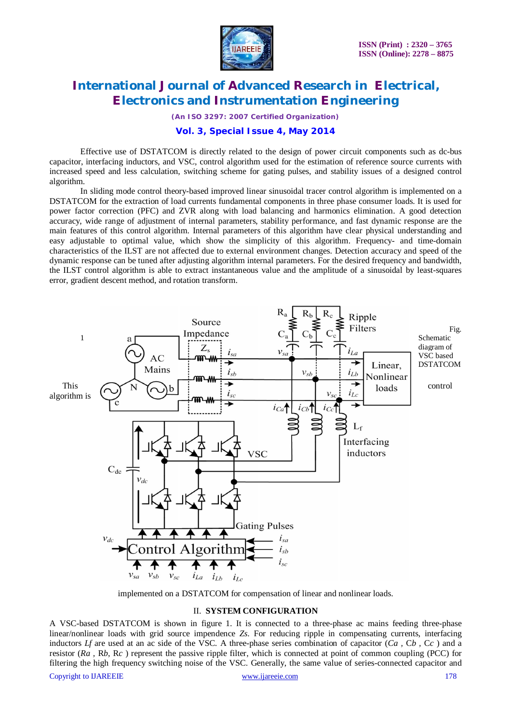

*(An ISO 3297: 2007 Certified Organization)*

### **Vol. 3, Special Issue 4, May 2014**

Effective use of DSTATCOM is directly related to the design of power circuit components such as dc-bus capacitor, interfacing inductors, and VSC, control algorithm used for the estimation of reference source currents with increased speed and less calculation, switching scheme for gating pulses, and stability issues of a designed control algorithm.

In sliding mode control theory-based improved linear sinusoidal tracer control algorithm is implemented on a DSTATCOM for the extraction of load currents fundamental components in three phase consumer loads. It is used for power factor correction (PFC) and ZVR along with load balancing and harmonics elimination. A good detection accuracy, wide range of adjustment of internal parameters, stability performance, and fast dynamic response are the main features of this control algorithm. Internal parameters of this algorithm have clear physical understanding and easy adjustable to optimal value, which show the simplicity of this algorithm. Frequency- and time-domain characteristics of the ILST are not affected due to external environment changes. Detection accuracy and speed of the dynamic response can be tuned after adjusting algorithm internal parameters. For the desired frequency and bandwidth, the ILST control algorithm is able to extract instantaneous value and the amplitude of a sinusoidal by least-squares error, gradient descent method, and rotation transform.



implemented on a DSTATCOM for compensation of linear and nonlinear loads.

#### II. **SYSTEM CONFIGURATION**

A VSC-based DSTATCOM is shown in figure 1. It is connected to a three-phase ac mains feeding three-phase linear/nonlinear loads with grid source impendence *Zs*. For reducing ripple in compensating currents, interfacing inductors  $Lf$  are used at an ac side of the VSC. A three-phase series combination of capacitor  $(Ca, Cb, Cc)$  and a resistor (*Ra ,* R*b*, R*c* ) represent the passive ripple filter, which is connected at point of common coupling (PCC) for filtering the high frequency switching noise of the VSC. Generally, the same value of series-connected capacitor and

#### Copyright to IJAREEIE www.ijareeie.com 178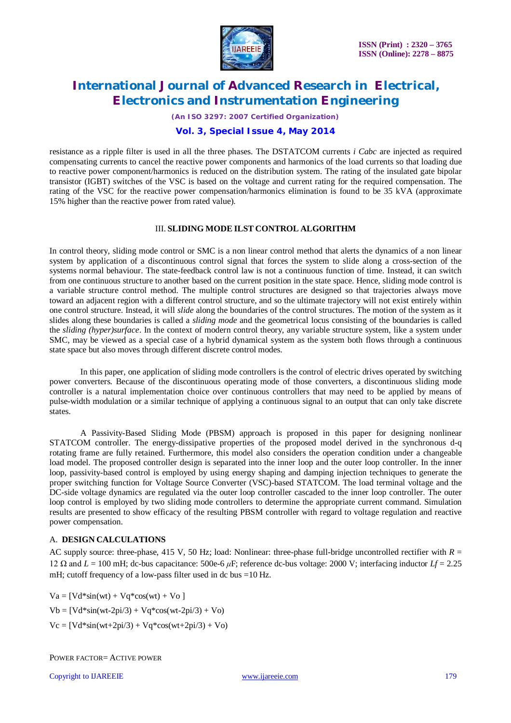

*(An ISO 3297: 2007 Certified Organization)*

### **Vol. 3, Special Issue 4, May 2014**

resistance as a ripple filter is used in all the three phases. The DSTATCOM currents *i Cabc* are injected as required compensating currents to cancel the reactive power components and harmonics of the load currents so that loading due to reactive power component/harmonics is reduced on the distribution system. The rating of the insulated gate bipolar transistor (IGBT) switches of the VSC is based on the voltage and current rating for the required compensation. The rating of the VSC for the reactive power compensation/harmonics elimination is found to be 35 kVA (approximate 15% higher than the reactive power from rated value).

#### III. **SLIDING MODE ILST CONTROL ALGORITHM**

In control theory, sliding mode control or SMC is a non linear control method that alerts the dynamics of a non linear system by application of a discontinuous control signal that forces the system to slide along a cross-section of the systems normal behaviour. The state-feedback control law is not a continuous function of time. Instead, it can switch from one continuous structure to another based on the current position in the state space. Hence, sliding mode control is a variable structure control method. The multiple control structures are designed so that trajectories always move toward an adjacent region with a different control structure, and so the ultimate trajectory will not exist entirely within one control structure. Instead, it will *slide* along the boundaries of the control structures. The motion of the system as it slides along these boundaries is called a *sliding mode* and the geometrical locus consisting of the boundaries is called the *sliding (hyper)surface*. In the context of modern control theory, any variable structure system, like a system under SMC, may be viewed as a special case of a hybrid dynamical system as the system both flows through a continuous state space but also moves through different discrete control modes.

In this paper, one application of sliding mode controllers is the control of electric drives operated by switching power converters. Because of the discontinuous operating mode of those converters, a discontinuous sliding mode controller is a natural implementation choice over continuous controllers that may need to be applied by means of pulse-width modulation or a similar technique of applying a continuous signal to an output that can only take discrete states.

A Passivity-Based Sliding Mode (PBSM) approach is proposed in this paper for designing nonlinear STATCOM controller. The energy-dissipative properties of the proposed model derived in the synchronous d-q rotating frame are fully retained. Furthermore, this model also considers the operation condition under a changeable load model. The proposed controller design is separated into the inner loop and the outer loop controller. In the inner loop, passivity-based control is employed by using energy shaping and damping injection techniques to generate the proper switching function for Voltage Source Converter (VSC)-based STATCOM. The load terminal voltage and the DC-side voltage dynamics are regulated via the outer loop controller cascaded to the inner loop controller. The outer loop control is employed by two sliding mode controllers to determine the appropriate current command. Simulation results are presented to show efficacy of the resulting PBSM controller with regard to voltage regulation and reactive power compensation.

### A. **DESIGN CALCULATIONS**

AC supply source: three-phase, 415 V, 50 Hz; load: Nonlinear: three-phase full-bridge uncontrolled rectifier with *R* = 12 Ω and *L* = 100 mH; dc-bus capacitance: 500e-6 *μ*F; reference dc-bus voltage: 2000 V; interfacing inductor *Lf* = 2.25 mH; cutoff frequency of a low-pass filter used in dc bus =10 Hz.

 $Va = [Vd*sin(wt) + Vq*cos(wt) + Vo]$  $Vb = [Vd*sin(wt-2pi/3) + Vq*cos(wt-2pi/3) + Vo)$  $Vc = [Vd*sin(wt+2pi/3) + Vq*cos(wt+2pi/3) + Vo)$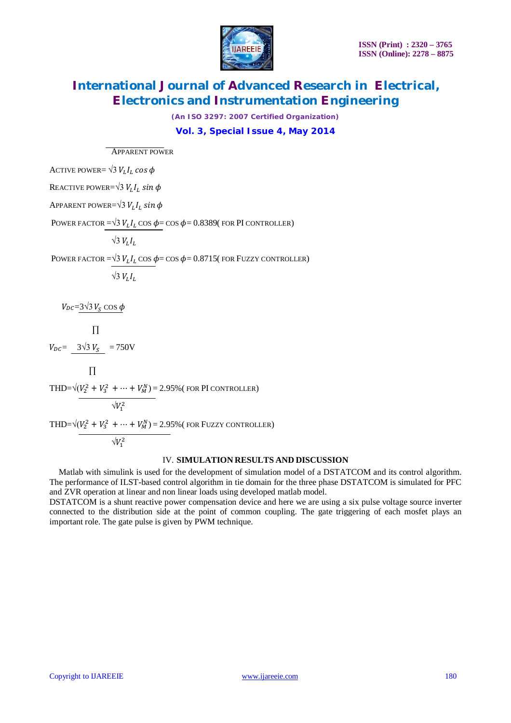

*(An ISO 3297: 2007 Certified Organization)*

**Vol. 3, Special Issue 4, May 2014**

APPARENT POWER

ACTIVE POWER=  $\sqrt{3} V_L I_L \cos \phi$ 

Reactive power=√3  $V_L I_L$  sin  $\phi$ 

Apparent power= $\sqrt{3}$   $V^{}_{L}$   $I^{}_{L}$   $sin$   $\phi$ 

Power factor =√3  $V_L I_L \cos \phi$ = cos  $\phi$ = 0.8389( for PI controller)

 $\sqrt{3} V_L I_L$ 

Power factor =  $\sqrt{3} V_L I_L \cos \phi = \cos \phi = 0.8715$ (for Fuzzy controller)

 $\sqrt{3} V_L I_L$ 

 $V_{DC}$ =3 $\sqrt{3} V_S \cos \phi$ 

$$
\Pi
$$

 $V_{DC} = 3\sqrt{3} V_S = 750V$ 

 $\Pi$ 

THD= $\sqrt{(V_2^2 + V_3^2 + \dots + V_M^N)}$  = 2.95% (for PI controller)

$$
\sqrt{V_1^2}
$$

THD= $\sqrt{(V_2^2 + V_3^2 + \dots + V_M^N)}$  = 2.95% (for Fuzzy controller)

$$
\sqrt{V_1^2}
$$

### IV. **SIMULATION RESULTS AND DISCUSSION**

Matlab with simulink is used for the development of simulation model of a DSTATCOM and its control algorithm. The performance of ILST-based control algorithm in tie domain for the three phase DSTATCOM is simulated for PFC and ZVR operation at linear and non linear loads using developed matlab model.

DSTATCOM is a shunt reactive power compensation device and here we are using a six pulse voltage source inverter connected to the distribution side at the point of common coupling. The gate triggering of each mosfet plays an important role. The gate pulse is given by PWM technique.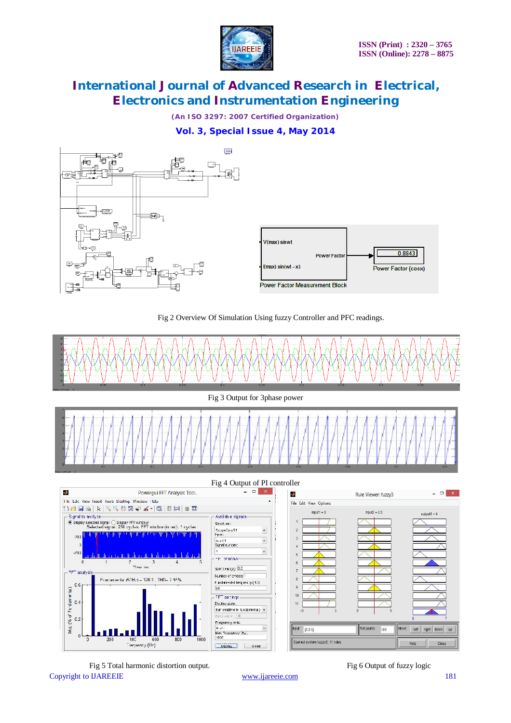

*(An ISO 3297: 2007 Certified Organization)*

**Vol. 3, Special Issue 4, May 2014**







Copyright to IJAREEIE www.ijareeie.com 181 Fig 5 Total harmonic distortion output. Fig 6 Output of fuzzy logic